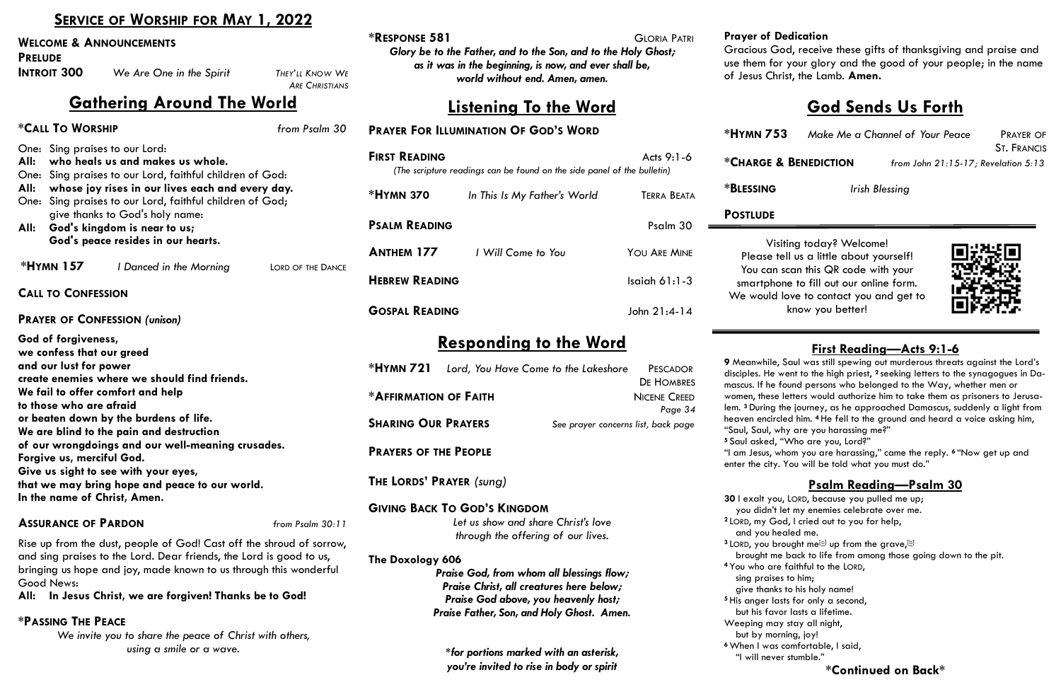# **SERVICE OF WORSHIP FOR MAY 1, 2022**

#### **Dedication**

iod, receive these gifts of thanksgiving and praise and or your glory and the good of your people; in the name rist, the Lamb. **Amen.** 

**33** Make Me a Channel of Your Peace PRAYER OF ST. FRANCIS **\*CHARGE & BENEDICTION** *from John 21:15-17; Revelation 5:13*

**Irish Blessing** 

|                                                                                                                                          | SERVICE OF WORSHIP FOR MAIL, 2022                                    |                                                                                    | <b>*RESPONSE 581</b>                                                                            |                                              |                                           | <b>GLORIA PATRI</b>                 | Prayer of D                             |
|------------------------------------------------------------------------------------------------------------------------------------------|----------------------------------------------------------------------|------------------------------------------------------------------------------------|-------------------------------------------------------------------------------------------------|----------------------------------------------|-------------------------------------------|-------------------------------------|-----------------------------------------|
| <b>WELCOME &amp; ANNOUNCEMENTS</b><br><b>PRELUDE</b>                                                                                     |                                                                      |                                                                                    | Glory be to the Father, and to the Son, and to the Holy Ghost;                                  |                                              |                                           |                                     | <b>Gracious G</b>                       |
| <b>INTROIT 300</b>                                                                                                                       | We Are One in the Spirit                                             | THEY'LL KNOW WE<br><b>ARE CHRISTIANS</b>                                           | as it was in the beginning, is now, and ever shall be,<br>world without end. Amen, amen.        |                                              |                                           |                                     | use them for<br>of Jesus Chi            |
|                                                                                                                                          | <b>Gathering Around The World</b>                                    |                                                                                    |                                                                                                 |                                              | <u>Listening To the Word</u>              |                                     |                                         |
| *CALL TO WORSHIP                                                                                                                         |                                                                      | from Psalm 30                                                                      |                                                                                                 | <b>PRAYER FOR ILLUMINATION OF GOD'S WORD</b> |                                           |                                     | *HYMN 75                                |
| One: Sing praises to our Lord:                                                                                                           |                                                                      |                                                                                    |                                                                                                 |                                              |                                           | Acts 9:1-6                          |                                         |
| All:                                                                                                                                     | who heals us and makes us whole.                                     |                                                                                    | <b>FIRST READING</b><br>(The scripture readings can be found on the side panel of the bulletin) | *CHARGE &                                    |                                           |                                     |                                         |
| One:<br>All:                                                                                                                             | Sing praises to our Lord, faithful children of God:                  |                                                                                    |                                                                                                 |                                              |                                           |                                     | <b>*BLESSING</b>                        |
| whose joy rises in our lives each and every day.<br>One: Sing praises to our Lord, faithful children of God;                             |                                                                      |                                                                                    | <b>*HYMN 370</b><br>In This Is My Father's World                                                |                                              |                                           | <b>TERRA BEATA</b>                  |                                         |
|                                                                                                                                          | give thanks to God's holy name:                                      |                                                                                    |                                                                                                 |                                              |                                           |                                     | <b>POSTLUDE</b>                         |
|                                                                                                                                          | All: God's kingdom is near to us;                                    |                                                                                    | <b>PSALM READING</b>                                                                            |                                              |                                           | Psalm 30                            |                                         |
|                                                                                                                                          | God's peace resides in our hearts.                                   |                                                                                    | <b>ANTHEM 177</b>                                                                               | I Will Come to You                           |                                           | YOU ARE MINE                        | Vis                                     |
| <b>*HYMN 157</b>                                                                                                                         | I Danced in the Morning                                              | LORD OF THE DANCE                                                                  |                                                                                                 |                                              |                                           |                                     | Please to                               |
|                                                                                                                                          |                                                                      |                                                                                    | <b>HEBREW READING</b>                                                                           |                                              |                                           | Isaiah $61:1-3$                     | You can<br>smartphc                     |
| <b>CALL TO CONFESSION</b>                                                                                                                |                                                                      |                                                                                    |                                                                                                 |                                              |                                           |                                     | We would                                |
|                                                                                                                                          | <b>PRAYER OF CONFESSION (unison)</b>                                 |                                                                                    | <b>GOSPAL READING</b>                                                                           |                                              |                                           | John 21:4-14                        |                                         |
| God of forgiveness,                                                                                                                      |                                                                      |                                                                                    |                                                                                                 |                                              |                                           |                                     |                                         |
| we confess that our greed                                                                                                                |                                                                      |                                                                                    |                                                                                                 |                                              | <b>Responding to the Word</b>             |                                     |                                         |
| and our lust for power                                                                                                                   |                                                                      |                                                                                    | $*$ HYMN 721<br>Lord, You Have Come to the Lakeshore<br>PESCADOR                                |                                              |                                           | 9 Meanwhile,                        |                                         |
| create enemies where we should find friends.                                                                                             |                                                                      |                                                                                    |                                                                                                 |                                              |                                           | <b>DE HOMBRES</b>                   | disciples. He<br>mascus. If he          |
| We fail to offer comfort and help                                                                                                        |                                                                      |                                                                                    | *AFFIRMATION OF FAITH                                                                           |                                              |                                           | <b>NICENE CREED</b>                 | women, these                            |
| to those who are afraid                                                                                                                  |                                                                      |                                                                                    |                                                                                                 |                                              |                                           | Page 34                             | lem. <sup>3</sup> During t              |
| or beaten down by the burdens of life.<br>We are blind to the pain and destruction                                                       |                                                                      |                                                                                    | <b>SHARING OUR PRAYERS</b>                                                                      |                                              |                                           | See prayer concerns list, back page | heaven encirc<br>"Saul, Saul, w         |
|                                                                                                                                          | of our wrongdoings and our well-meaning crusades.                    |                                                                                    |                                                                                                 |                                              |                                           |                                     | <sup>5</sup> Saul asked,                |
| Forgive us, merciful God.                                                                                                                |                                                                      |                                                                                    | <b>PRAYERS OF THE PEOPLE</b>                                                                    |                                              |                                           |                                     | "I am Jesus, w<br>enter the city.       |
|                                                                                                                                          | Give us sight to see with your eyes,                                 |                                                                                    |                                                                                                 |                                              |                                           |                                     |                                         |
|                                                                                                                                          | that we may bring hope and peace to our world.                       |                                                                                    | THE LORDS' PRAYER (sung)                                                                        |                                              |                                           |                                     |                                         |
| In the name of Christ, Amen.                                                                                                             |                                                                      |                                                                                    |                                                                                                 | <b>GIVING BACK TO GOD'S KINGDOM</b>          |                                           |                                     | 30 I exalt you<br>you didn't            |
| <b>ASSURANCE OF PARDON</b>                                                                                                               |                                                                      | from Psalm 30:11                                                                   |                                                                                                 |                                              | Let us show and share Christ's love       |                                     | <sup>2</sup> LORD, my Go                |
|                                                                                                                                          |                                                                      |                                                                                    |                                                                                                 |                                              | through the offering of our lives.        |                                     | and you he                              |
|                                                                                                                                          | Rise up from the dust, people of God! Cast off the shroud of sorrow, |                                                                                    |                                                                                                 |                                              |                                           |                                     | <sup>3</sup> LORD, you br<br>brought me |
| and sing praises to the Lord. Dear friends, the Lord is good to us,<br>bringing us hope and joy, made known to us through this wonderful |                                                                      |                                                                                    | The Doxology 606<br>Praise God, from whom all blessings flow;                                   |                                              |                                           |                                     | <sup>4</sup> You who are                |
| Good News:                                                                                                                               |                                                                      | Praise Christ, all creatures here below;                                           |                                                                                                 |                                              |                                           | sing praise<br>give thanks          |                                         |
|                                                                                                                                          | All: In Jesus Christ, we are forgiven! Thanks be to God!             |                                                                                    |                                                                                                 |                                              | Praise God above, you heavenly host;      |                                     | <sup>5</sup> His anger la               |
| <b>*PASSING THE PEACE</b>                                                                                                                |                                                                      |                                                                                    |                                                                                                 |                                              | Praise Father, Son, and Holy Ghost. Amen. |                                     | but his fave                            |
|                                                                                                                                          | We invite you to share the peace of Christ with others,              |                                                                                    |                                                                                                 |                                              |                                           |                                     | Weeping may<br>but by mor               |
|                                                                                                                                          | using a smile or a wave.                                             |                                                                                    |                                                                                                 |                                              |                                           |                                     | <sup>6</sup> When I was                 |
|                                                                                                                                          |                                                                      | *for portions marked with an asterisk,<br>you're invited to rise in body or spirit |                                                                                                 |                                              |                                           | "I will neve                        |                                         |

"I am Jesus, whom you are harassing," came the reply. **<sup>6</sup>** "Now get up and You will be told what you must do."

siting today? Welcome! tell us a little about yourself! scan this QR code with your one to fill out our online form. love to contact you and get to know you better!



# **God Sends Us Forth**

# **First Reading—Acts 9:1-6**

Saul was still spewing out murderous threats against the Lord's disciples. He went to the high priest, <sup>2</sup> seeking letters to the synagogues in Dafound persons who belonged to the Way, whether men or letters would authorize him to take them as prisoners to Jerusathe journey, as he approached Damascus, suddenly a light from cled him. <sup>4</sup> He fell to the ground and heard a voice asking him, why are you harassing me?"

"Who are you, Lord?"

# **Psalm Reading—Psalm 30**

U, LORD, because you pulled me up; let my enemies celebrate over me.  $\alpha$ , I cried out to you for help, ealed me.  $^3$  LORD, you brought me<sup>[\[a\]](https://www.biblegateway.com/passage/?search=Psalm+30&version=CEB#fen-CEB-14323a)</sup> up from the grave, [[b\]](https://www.biblegateway.com/passage/?search=Psalm+30&version=CEB#fen-CEB-14323b) e back to life from among those going down to the pit. **4** e faithful to the LORD, es to him; is to his holy name! asts for only a second, vor lasts a lifetime. y stay all night,  $r$ ning, joy! comfortable, I said, er stumble."

### **\*Continued on Back\***